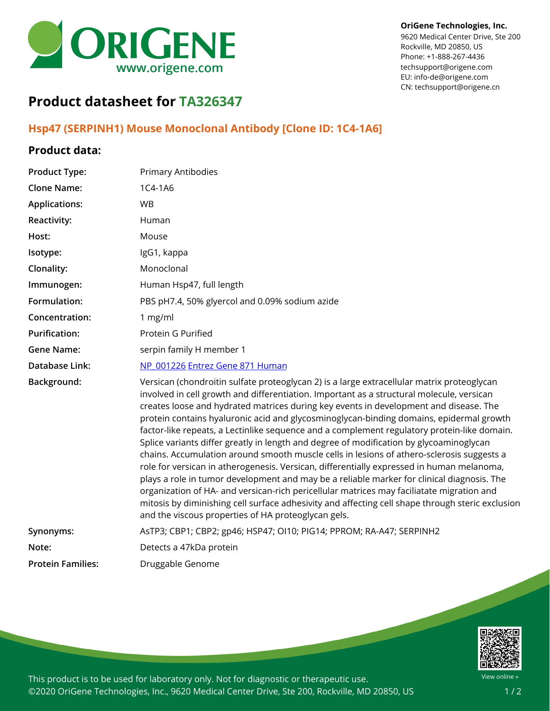

#### **OriGene Technologies, Inc.**

9620 Medical Center Drive, Ste 200 Rockville, MD 20850, US Phone: +1-888-267-4436 techsupport@origene.com EU: info-de@origene.com CN: techsupport@origene.cn

# **Product datasheet for TA326347**

**Product Type:** Primary Antibodies

# **Hsp47 (SERPINH1) Mouse Monoclonal Antibody [Clone ID: 1C4-1A6]**

## **Product data:**

| <b>Clone Name:</b>       | 1C4-1A6                                                                                                                                                                                                                                                                                                                                                                                                                                                                                                                                                                                                                                                                                                                                                                                                                                                                                                                                                                                                                                                                                                               |
|--------------------------|-----------------------------------------------------------------------------------------------------------------------------------------------------------------------------------------------------------------------------------------------------------------------------------------------------------------------------------------------------------------------------------------------------------------------------------------------------------------------------------------------------------------------------------------------------------------------------------------------------------------------------------------------------------------------------------------------------------------------------------------------------------------------------------------------------------------------------------------------------------------------------------------------------------------------------------------------------------------------------------------------------------------------------------------------------------------------------------------------------------------------|
| <b>Applications:</b>     | <b>WB</b>                                                                                                                                                                                                                                                                                                                                                                                                                                                                                                                                                                                                                                                                                                                                                                                                                                                                                                                                                                                                                                                                                                             |
| Reactivity:              | Human                                                                                                                                                                                                                                                                                                                                                                                                                                                                                                                                                                                                                                                                                                                                                                                                                                                                                                                                                                                                                                                                                                                 |
| Host:                    | Mouse                                                                                                                                                                                                                                                                                                                                                                                                                                                                                                                                                                                                                                                                                                                                                                                                                                                                                                                                                                                                                                                                                                                 |
| Isotype:                 | IgG1, kappa                                                                                                                                                                                                                                                                                                                                                                                                                                                                                                                                                                                                                                                                                                                                                                                                                                                                                                                                                                                                                                                                                                           |
| Clonality:               | Monoclonal                                                                                                                                                                                                                                                                                                                                                                                                                                                                                                                                                                                                                                                                                                                                                                                                                                                                                                                                                                                                                                                                                                            |
| Immunogen:               | Human Hsp47, full length                                                                                                                                                                                                                                                                                                                                                                                                                                                                                                                                                                                                                                                                                                                                                                                                                                                                                                                                                                                                                                                                                              |
| Formulation:             | PBS pH7.4, 50% glyercol and 0.09% sodium azide                                                                                                                                                                                                                                                                                                                                                                                                                                                                                                                                                                                                                                                                                                                                                                                                                                                                                                                                                                                                                                                                        |
| Concentration:           | 1 mg/ml                                                                                                                                                                                                                                                                                                                                                                                                                                                                                                                                                                                                                                                                                                                                                                                                                                                                                                                                                                                                                                                                                                               |
| <b>Purification:</b>     | Protein G Purified                                                                                                                                                                                                                                                                                                                                                                                                                                                                                                                                                                                                                                                                                                                                                                                                                                                                                                                                                                                                                                                                                                    |
| <b>Gene Name:</b>        | serpin family H member 1                                                                                                                                                                                                                                                                                                                                                                                                                                                                                                                                                                                                                                                                                                                                                                                                                                                                                                                                                                                                                                                                                              |
| Database Link:           | NP 001226 Entrez Gene 871 Human                                                                                                                                                                                                                                                                                                                                                                                                                                                                                                                                                                                                                                                                                                                                                                                                                                                                                                                                                                                                                                                                                       |
| Background:              | Versican (chondroitin sulfate proteoglycan 2) is a large extracellular matrix proteoglycan<br>involved in cell growth and differentiation. Important as a structural molecule, versican<br>creates loose and hydrated matrices during key events in development and disease. The<br>protein contains hyaluronic acid and glycosminoglycan-binding domains, epidermal growth<br>factor-like repeats, a Lectinlike sequence and a complement regulatory protein-like domain.<br>Splice variants differ greatly in length and degree of modification by glycoaminoglycan<br>chains. Accumulation around smooth muscle cells in lesions of athero-sclerosis suggests a<br>role for versican in atherogenesis. Versican, differentially expressed in human melanoma,<br>plays a role in tumor development and may be a reliable marker for clinical diagnosis. The<br>organization of HA- and versican-rich pericellular matrices may faciliatate migration and<br>mitosis by diminishing cell surface adhesivity and affecting cell shape through steric exclusion<br>and the viscous properties of HA proteoglycan gels. |
| Synonyms:                | AsTP3; CBP1; CBP2; gp46; HSP47; OI10; PIG14; PPROM; RA-A47; SERPINH2                                                                                                                                                                                                                                                                                                                                                                                                                                                                                                                                                                                                                                                                                                                                                                                                                                                                                                                                                                                                                                                  |
| Note:                    | Detects a 47kDa protein                                                                                                                                                                                                                                                                                                                                                                                                                                                                                                                                                                                                                                                                                                                                                                                                                                                                                                                                                                                                                                                                                               |
| <b>Protein Families:</b> | Druggable Genome                                                                                                                                                                                                                                                                                                                                                                                                                                                                                                                                                                                                                                                                                                                                                                                                                                                                                                                                                                                                                                                                                                      |
|                          |                                                                                                                                                                                                                                                                                                                                                                                                                                                                                                                                                                                                                                                                                                                                                                                                                                                                                                                                                                                                                                                                                                                       |



This product is to be used for laboratory only. Not for diagnostic or therapeutic use. ©2020 OriGene Technologies, Inc., 9620 Medical Center Drive, Ste 200, Rockville, MD 20850, US